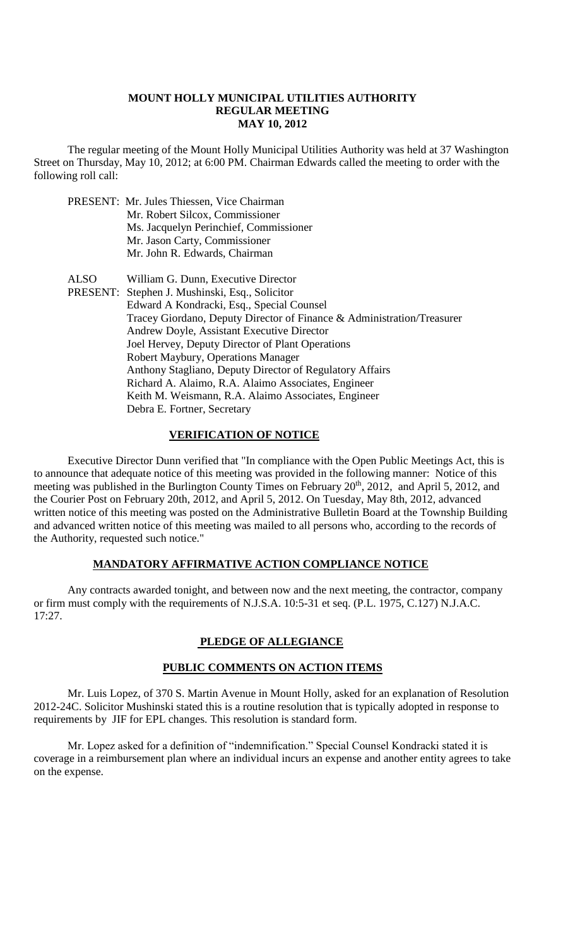#### **MOUNT HOLLY MUNICIPAL UTILITIES AUTHORITY REGULAR MEETING MAY 10, 2012**

The regular meeting of the Mount Holly Municipal Utilities Authority was held at 37 Washington Street on Thursday, May 10, 2012; at 6:00 PM. Chairman Edwards called the meeting to order with the following roll call:

- PRESENT: Mr. Jules Thiessen, Vice Chairman
	- Mr. Robert Silcox, Commissioner
		- Ms. Jacquelyn Perinchief, Commissioner
		- Mr. Jason Carty, Commissioner
		- Mr. John R. Edwards, Chairman
- ALSO William G. Dunn, Executive Director
- PRESENT: Stephen J. Mushinski, Esq., Solicitor Edward A Kondracki, Esq., Special Counsel Tracey Giordano, Deputy Director of Finance & Administration/Treasurer Andrew Doyle, Assistant Executive Director Joel Hervey, Deputy Director of Plant Operations Robert Maybury, Operations Manager Anthony Stagliano, Deputy Director of Regulatory Affairs Richard A. Alaimo, R.A. Alaimo Associates, Engineer Keith M. Weismann, R.A. Alaimo Associates, Engineer Debra E. Fortner, Secretary

# **VERIFICATION OF NOTICE**

Executive Director Dunn verified that "In compliance with the Open Public Meetings Act, this is to announce that adequate notice of this meeting was provided in the following manner: Notice of this meeting was published in the Burlington County Times on February 20<sup>th</sup>, 2012, and April 5, 2012, and the Courier Post on February 20th, 2012, and April 5, 2012. On Tuesday, May 8th, 2012, advanced written notice of this meeting was posted on the Administrative Bulletin Board at the Township Building and advanced written notice of this meeting was mailed to all persons who, according to the records of the Authority, requested such notice."

## **MANDATORY AFFIRMATIVE ACTION COMPLIANCE NOTICE**

Any contracts awarded tonight, and between now and the next meeting, the contractor, company or firm must comply with the requirements of N.J.S.A. 10:5-31 et seq. (P.L. 1975, C.127) N.J.A.C. 17:27.

## **PLEDGE OF ALLEGIANCE**

## **PUBLIC COMMENTS ON ACTION ITEMS**

Mr. Luis Lopez, of 370 S. Martin Avenue in Mount Holly, asked for an explanation of Resolution 2012-24C. Solicitor Mushinski stated this is a routine resolution that is typically adopted in response to requirements by JIF for EPL changes. This resolution is standard form.

Mr. Lopez asked for a definition of "indemnification." Special Counsel Kondracki stated it is coverage in a reimbursement plan where an individual incurs an expense and another entity agrees to take on the expense.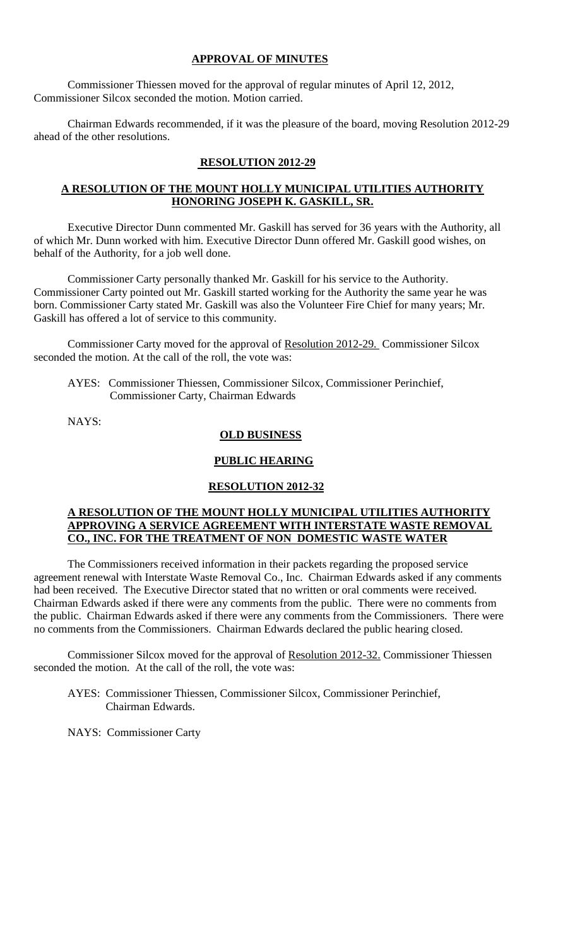# **APPROVAL OF MINUTES**

Commissioner Thiessen moved for the approval of regular minutes of April 12, 2012, Commissioner Silcox seconded the motion. Motion carried.

Chairman Edwards recommended, if it was the pleasure of the board, moving Resolution 2012-29 ahead of the other resolutions.

# **RESOLUTION 2012-29**

# **A RESOLUTION OF THE MOUNT HOLLY MUNICIPAL UTILITIES AUTHORITY HONORING JOSEPH K. GASKILL, SR.**

Executive Director Dunn commented Mr. Gaskill has served for 36 years with the Authority, all of which Mr. Dunn worked with him. Executive Director Dunn offered Mr. Gaskill good wishes, on behalf of the Authority, for a job well done.

Commissioner Carty personally thanked Mr. Gaskill for his service to the Authority. Commissioner Carty pointed out Mr. Gaskill started working for the Authority the same year he was born. Commissioner Carty stated Mr. Gaskill was also the Volunteer Fire Chief for many years; Mr. Gaskill has offered a lot of service to this community.

Commissioner Carty moved for the approval of Resolution 2012-29. Commissioner Silcox seconded the motion. At the call of the roll, the vote was:

AYES: Commissioner Thiessen, Commissioner Silcox, Commissioner Perinchief, Commissioner Carty, Chairman Edwards

NAYS:

# **OLD BUSINESS**

## **PUBLIC HEARING**

## **RESOLUTION 2012-32**

## **A RESOLUTION OF THE MOUNT HOLLY MUNICIPAL UTILITIES AUTHORITY APPROVING A SERVICE AGREEMENT WITH INTERSTATE WASTE REMOVAL CO., INC. FOR THE TREATMENT OF NON DOMESTIC WASTE WATER**

The Commissioners received information in their packets regarding the proposed service agreement renewal with Interstate Waste Removal Co., Inc. Chairman Edwards asked if any comments had been received. The Executive Director stated that no written or oral comments were received. Chairman Edwards asked if there were any comments from the public. There were no comments from the public. Chairman Edwards asked if there were any comments from the Commissioners. There were no comments from the Commissioners. Chairman Edwards declared the public hearing closed.

Commissioner Silcox moved for the approval of Resolution 2012-32. Commissioner Thiessen seconded the motion. At the call of the roll, the vote was:

AYES: Commissioner Thiessen, Commissioner Silcox, Commissioner Perinchief, Chairman Edwards.

NAYS: Commissioner Carty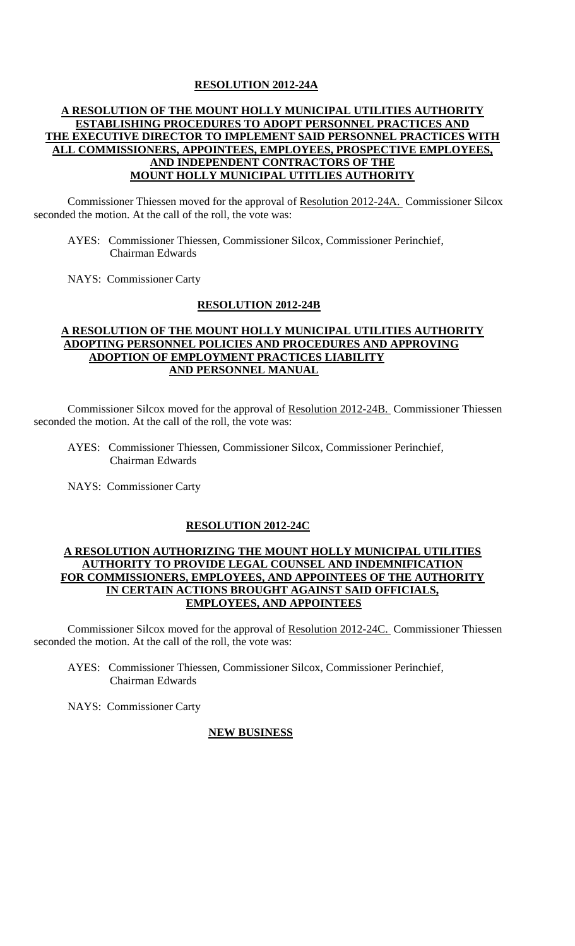## **RESOLUTION 2012-24A**

# **A RESOLUTION OF THE MOUNT HOLLY MUNICIPAL UTILITIES AUTHORITY ESTABLISHING PROCEDURES TO ADOPT PERSONNEL PRACTICES AND THE EXECUTIVE DIRECTOR TO IMPLEMENT SAID PERSONNEL PRACTICES WITH ALL COMMISSIONERS, APPOINTEES, EMPLOYEES, PROSPECTIVE EMPLOYEES, AND INDEPENDENT CONTRACTORS OF THE MOUNT HOLLY MUNICIPAL UTITLIES AUTHORITY**

Commissioner Thiessen moved for the approval of Resolution 2012-24A. Commissioner Silcox seconded the motion. At the call of the roll, the vote was:

 AYES: Commissioner Thiessen, Commissioner Silcox, Commissioner Perinchief, Chairman Edwards

NAYS: Commissioner Carty

## **RESOLUTION 2012-24B**

# **A RESOLUTION OF THE MOUNT HOLLY MUNICIPAL UTILITIES AUTHORITY ADOPTING PERSONNEL POLICIES AND PROCEDURES AND APPROVING ADOPTION OF EMPLOYMENT PRACTICES LIABILITY AND PERSONNEL MANUAL**

Commissioner Silcox moved for the approval of Resolution 2012-24B. Commissioner Thiessen seconded the motion. At the call of the roll, the vote was:

 AYES: Commissioner Thiessen, Commissioner Silcox, Commissioner Perinchief, Chairman Edwards

NAYS: Commissioner Carty

## **RESOLUTION 2012-24C**

### **A RESOLUTION AUTHORIZING THE MOUNT HOLLY MUNICIPAL UTILITIES AUTHORITY TO PROVIDE LEGAL COUNSEL AND INDEMNIFICATION FOR COMMISSIONERS, EMPLOYEES, AND APPOINTEES OF THE AUTHORITY IN CERTAIN ACTIONS BROUGHT AGAINST SAID OFFICIALS, EMPLOYEES, AND APPOINTEES**

Commissioner Silcox moved for the approval of Resolution 2012-24C. Commissioner Thiessen seconded the motion. At the call of the roll, the vote was:

 AYES: Commissioner Thiessen, Commissioner Silcox, Commissioner Perinchief, Chairman Edwards

NAYS: Commissioner Carty

## **NEW BUSINESS**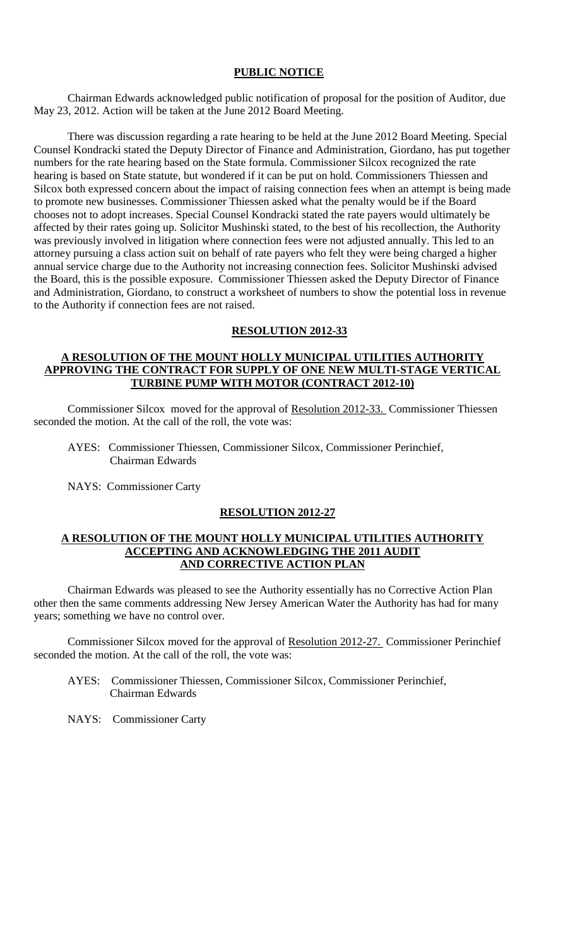## **PUBLIC NOTICE**

Chairman Edwards acknowledged public notification of proposal for the position of Auditor, due May 23, 2012. Action will be taken at the June 2012 Board Meeting.

There was discussion regarding a rate hearing to be held at the June 2012 Board Meeting. Special Counsel Kondracki stated the Deputy Director of Finance and Administration, Giordano, has put together numbers for the rate hearing based on the State formula. Commissioner Silcox recognized the rate hearing is based on State statute, but wondered if it can be put on hold. Commissioners Thiessen and Silcox both expressed concern about the impact of raising connection fees when an attempt is being made to promote new businesses. Commissioner Thiessen asked what the penalty would be if the Board chooses not to adopt increases. Special Counsel Kondracki stated the rate payers would ultimately be affected by their rates going up. Solicitor Mushinski stated, to the best of his recollection, the Authority was previously involved in litigation where connection fees were not adjusted annually. This led to an attorney pursuing a class action suit on behalf of rate payers who felt they were being charged a higher annual service charge due to the Authority not increasing connection fees. Solicitor Mushinski advised the Board, this is the possible exposure. Commissioner Thiessen asked the Deputy Director of Finance and Administration, Giordano, to construct a worksheet of numbers to show the potential loss in revenue to the Authority if connection fees are not raised.

#### **RESOLUTION 2012-33**

#### **A RESOLUTION OF THE MOUNT HOLLY MUNICIPAL UTILITIES AUTHORITY APPROVING THE CONTRACT FOR SUPPLY OF ONE NEW MULTI-STAGE VERTICAL TURBINE PUMP WITH MOTOR (CONTRACT 2012-10)**

Commissioner Silcox moved for the approval of Resolution 2012-33. Commissioner Thiessen seconded the motion. At the call of the roll, the vote was:

- AYES: Commissioner Thiessen, Commissioner Silcox, Commissioner Perinchief, Chairman Edwards
- NAYS: Commissioner Carty

#### **RESOLUTION 2012-27**

#### **A RESOLUTION OF THE MOUNT HOLLY MUNICIPAL UTILITIES AUTHORITY ACCEPTING AND ACKNOWLEDGING THE 2011 AUDIT AND CORRECTIVE ACTION PLAN**

Chairman Edwards was pleased to see the Authority essentially has no Corrective Action Plan other then the same comments addressing New Jersey American Water the Authority has had for many years; something we have no control over.

Commissioner Silcox moved for the approval of Resolution 2012-27. Commissioner Perinchief seconded the motion. At the call of the roll, the vote was:

- AYES: Commissioner Thiessen, Commissioner Silcox, Commissioner Perinchief, Chairman Edwards
- NAYS: Commissioner Carty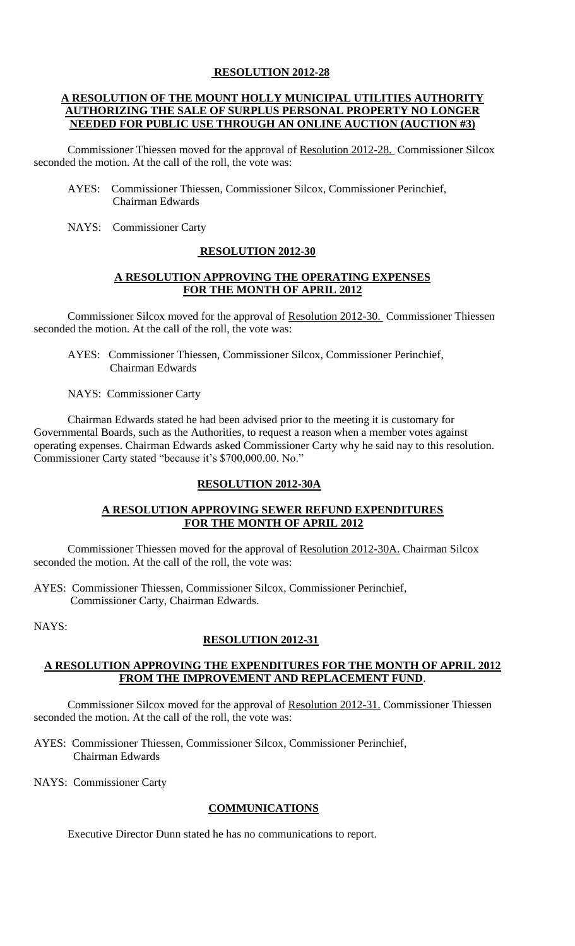# **RESOLUTION 2012-28**

## **A RESOLUTION OF THE MOUNT HOLLY MUNICIPAL UTILITIES AUTHORITY AUTHORIZING THE SALE OF SURPLUS PERSONAL PROPERTY NO LONGER NEEDED FOR PUBLIC USE THROUGH AN ONLINE AUCTION (AUCTION #3)**

Commissioner Thiessen moved for the approval of Resolution 2012-28. Commissioner Silcox seconded the motion. At the call of the roll, the vote was:

- AYES: Commissioner Thiessen, Commissioner Silcox, Commissioner Perinchief, Chairman Edwards
- NAYS: Commissioner Carty

#### **RESOLUTION 2012-30**

## **A RESOLUTION APPROVING THE OPERATING EXPENSES FOR THE MONTH OF APRIL 2012**

Commissioner Silcox moved for the approval of Resolution 2012-30. Commissioner Thiessen seconded the motion. At the call of the roll, the vote was:

 AYES: Commissioner Thiessen, Commissioner Silcox, Commissioner Perinchief, Chairman Edwards

NAYS: Commissioner Carty

Chairman Edwards stated he had been advised prior to the meeting it is customary for Governmental Boards, such as the Authorities, to request a reason when a member votes against operating expenses. Chairman Edwards asked Commissioner Carty why he said nay to this resolution. Commissioner Carty stated "because it's \$700,000.00. No."

## **RESOLUTION 2012-30A**

## **A RESOLUTION APPROVING SEWER REFUND EXPENDITURES FOR THE MONTH OF APRIL 2012**

Commissioner Thiessen moved for the approval of Resolution 2012-30A. Chairman Silcox seconded the motion. At the call of the roll, the vote was:

AYES: Commissioner Thiessen, Commissioner Silcox, Commissioner Perinchief, Commissioner Carty, Chairman Edwards.

NAYS:

## **RESOLUTION 2012-31**

## **A RESOLUTION APPROVING THE EXPENDITURES FOR THE MONTH OF APRIL 2012 FROM THE IMPROVEMENT AND REPLACEMENT FUND**.

Commissioner Silcox moved for the approval of Resolution 2012-31. Commissioner Thiessen seconded the motion. At the call of the roll, the vote was:

AYES: Commissioner Thiessen, Commissioner Silcox, Commissioner Perinchief, Chairman Edwards

NAYS: Commissioner Carty

# **COMMUNICATIONS**

Executive Director Dunn stated he has no communications to report.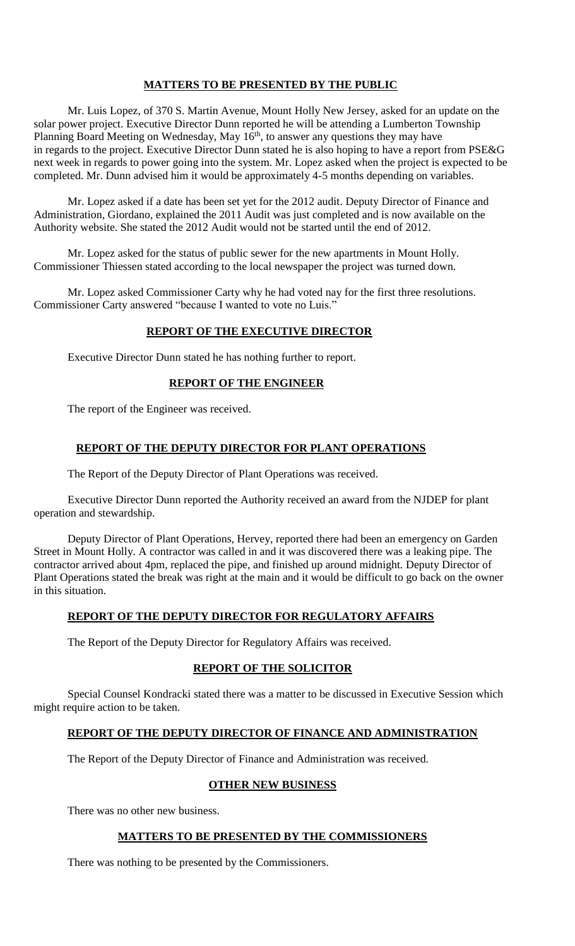# **MATTERS TO BE PRESENTED BY THE PUBLIC**

Mr. Luis Lopez, of 370 S. Martin Avenue, Mount Holly New Jersey, asked for an update on the solar power project. Executive Director Dunn reported he will be attending a Lumberton Township Planning Board Meeting on Wednesday, May  $16<sup>th</sup>$ , to answer any questions they may have in regards to the project. Executive Director Dunn stated he is also hoping to have a report from PSE&G next week in regards to power going into the system. Mr. Lopez asked when the project is expected to be completed. Mr. Dunn advised him it would be approximately 4-5 months depending on variables.

Mr. Lopez asked if a date has been set yet for the 2012 audit. Deputy Director of Finance and Administration, Giordano, explained the 2011 Audit was just completed and is now available on the Authority website. She stated the 2012 Audit would not be started until the end of 2012.

Mr. Lopez asked for the status of public sewer for the new apartments in Mount Holly. Commissioner Thiessen stated according to the local newspaper the project was turned down.

Mr. Lopez asked Commissioner Carty why he had voted nay for the first three resolutions. Commissioner Carty answered "because I wanted to vote no Luis."

#### **REPORT OF THE EXECUTIVE DIRECTOR**

Executive Director Dunn stated he has nothing further to report.

## **REPORT OF THE ENGINEER**

The report of the Engineer was received.

## **REPORT OF THE DEPUTY DIRECTOR FOR PLANT OPERATIONS**

The Report of the Deputy Director of Plant Operations was received.

Executive Director Dunn reported the Authority received an award from the NJDEP for plant operation and stewardship.

Deputy Director of Plant Operations, Hervey, reported there had been an emergency on Garden Street in Mount Holly. A contractor was called in and it was discovered there was a leaking pipe. The contractor arrived about 4pm, replaced the pipe, and finished up around midnight. Deputy Director of Plant Operations stated the break was right at the main and it would be difficult to go back on the owner in this situation.

## **REPORT OF THE DEPUTY DIRECTOR FOR REGULATORY AFFAIRS**

The Report of the Deputy Director for Regulatory Affairs was received.

## **REPORT OF THE SOLICITOR**

Special Counsel Kondracki stated there was a matter to be discussed in Executive Session which might require action to be taken.

# **REPORT OF THE DEPUTY DIRECTOR OF FINANCE AND ADMINISTRATION**

The Report of the Deputy Director of Finance and Administration was received.

## **OTHER NEW BUSINESS**

There was no other new business.

## **MATTERS TO BE PRESENTED BY THE COMMISSIONERS**

There was nothing to be presented by the Commissioners.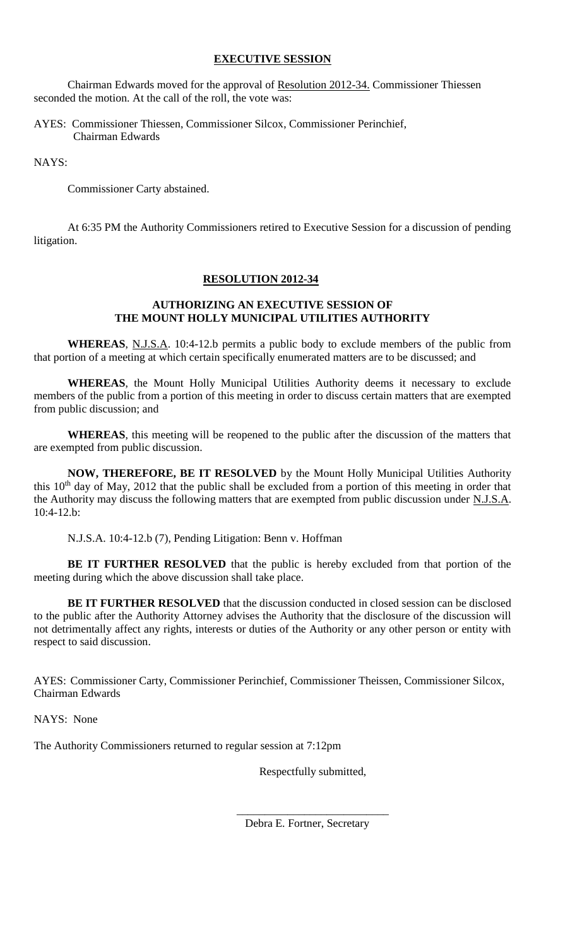# **EXECUTIVE SESSION**

Chairman Edwards moved for the approval of Resolution 2012-34. Commissioner Thiessen seconded the motion. At the call of the roll, the vote was:

AYES: Commissioner Thiessen, Commissioner Silcox, Commissioner Perinchief, Chairman Edwards

NAYS:

Commissioner Carty abstained.

At 6:35 PM the Authority Commissioners retired to Executive Session for a discussion of pending litigation.

# **RESOLUTION 2012-34**

# **AUTHORIZING AN EXECUTIVE SESSION OF THE MOUNT HOLLY MUNICIPAL UTILITIES AUTHORITY**

**WHEREAS**, N.J.S.A. 10:4-12.b permits a public body to exclude members of the public from that portion of a meeting at which certain specifically enumerated matters are to be discussed; and

**WHEREAS**, the Mount Holly Municipal Utilities Authority deems it necessary to exclude members of the public from a portion of this meeting in order to discuss certain matters that are exempted from public discussion; and

**WHEREAS**, this meeting will be reopened to the public after the discussion of the matters that are exempted from public discussion.

**NOW, THEREFORE, BE IT RESOLVED** by the Mount Holly Municipal Utilities Authority this  $10<sup>th</sup>$  day of May, 2012 that the public shall be excluded from a portion of this meeting in order that the Authority may discuss the following matters that are exempted from public discussion under N.J.S.A.  $10:4-12.b$ :

N.J.S.A. 10:4-12.b (7), Pending Litigation: Benn v. Hoffman

**BE IT FURTHER RESOLVED** that the public is hereby excluded from that portion of the meeting during which the above discussion shall take place.

**BE IT FURTHER RESOLVED** that the discussion conducted in closed session can be disclosed to the public after the Authority Attorney advises the Authority that the disclosure of the discussion will not detrimentally affect any rights, interests or duties of the Authority or any other person or entity with respect to said discussion.

AYES: Commissioner Carty, Commissioner Perinchief, Commissioner Theissen, Commissioner Silcox, Chairman Edwards

NAYS: None

The Authority Commissioners returned to regular session at 7:12pm

Respectfully submitted,

\_\_\_\_\_\_\_\_\_\_\_\_\_\_\_\_\_\_\_\_\_\_\_\_\_\_\_ Debra E. Fortner, Secretary